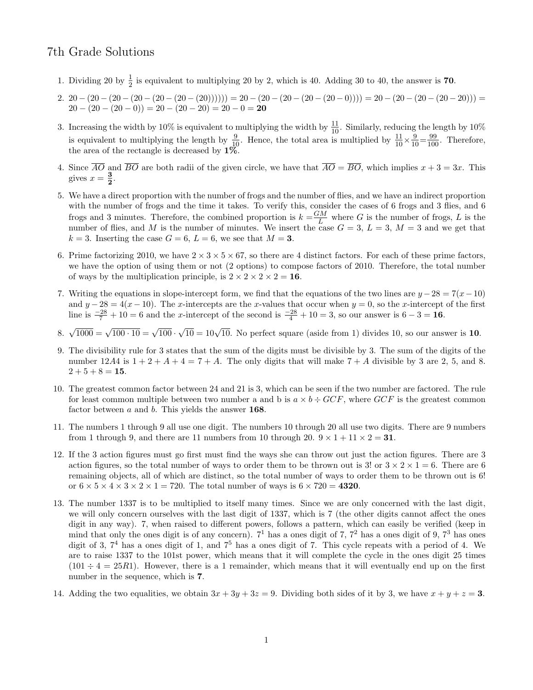## 7th Grade Solutions

- 1. Dividing 20 by  $\frac{1}{2}$  is equivalent to multiplying 20 by 2, which is 40. Adding 30 to 40, the answer is 70.
- 2. 20  $(20 (20 (20 (20 (20 (20)))))) = 20 (20 (20 (20 (20 0)))) = 20 (20 (20 (20 20))) =$  $20 - (20 - (20 - 0)) = 20 - (20 - 20) = 20 - 0 = 20$
- 3. Increasing the width by 10% is equivalent to multiplying the width by  $\frac{11}{10}$ . Similarly, reducing the length by 10% is equivalent to multiplying the length by  $\frac{9}{10}$ . Hence, the total area is multiplied by  $\frac{11}{10} \times \frac{9}{10} = \frac{99}{100}$ . Therefore, the area of the rectangle is decreased by  $1\%$ .
- 4. Since  $\overline{AO}$  and  $\overline{BO}$  are both radii of the given circle, we have that  $\overline{AO} = \overline{BO}$ , which implies  $x + 3 = 3x$ . This gives  $x=\frac{3}{2}$  $\frac{3}{2}$ .
- 5. We have a direct proportion with the number of frogs and the number of flies, and we have an indirect proportion with the number of frogs and the time it takes. To verify this, consider the cases of 6 frogs and 3 flies, and 6 frogs and 3 minutes. Therefore, the combined proportion is  $k = \frac{GM}{I}$  $\frac{L}{L}$  where G is the number of frogs, L is the number of flies, and M is the number of minutes. We insert the case  $G = 3$ ,  $L = 3$ ,  $M = 3$  and we get that  $k = 3$ . Inserting the case  $G = 6$ ,  $L = 6$ , we see that  $M = 3$ .
- 6. Prime factorizing 2010, we have  $2 \times 3 \times 5 \times 67$ , so there are 4 distinct factors. For each of these prime factors, we have the option of using them or not (2 options) to compose factors of 2010. Therefore, the total number of ways by the multiplication principle, is  $2 \times 2 \times 2 \times 2 = 16$ .
- 7. Writing the equations in slope-intercept form, we find that the equations of the two lines are  $y 28 = 7(x-10)$ and  $y - 28 = 4(x - 10)$ . The x-intercepts are the x-values that occur when  $y = 0$ , so the x-intercept of the first line is  $\frac{-28}{7} + 10 = 6$  and the x-intercept of the second is  $\frac{-28}{4} + 10 = 3$ , so our answer is  $6 - 3 = 16$ .
- 8.  $\sqrt{1000} = \sqrt{100 \cdot 10} = \sqrt{100}$ .  $\sqrt{10} = 10\sqrt{10}$ . No perfect square (aside from 1) divides 10, so our answer is 10.
- 9. The divisibility rule for 3 states that the sum of the digits must be divisible by 3. The sum of the digits of the number 12A4 is  $1+2+A+4=7+A$ . The only digits that will make  $7+A$  divisible by 3 are 2, 5, and 8.  $2 + 5 + 8 = 15$ .
- 10. The greatest common factor between 24 and 21 is 3, which can be seen if the two number are factored. The rule for least common multiple between two number a and b is  $a \times b \div GCF$ , where  $GCF$  is the greatest common factor between  $a$  and  $b$ . This yields the answer 168.
- 11. The numbers 1 through 9 all use one digit. The numbers 10 through 20 all use two digits. There are 9 numbers from 1 through 9, and there are 11 numbers from 10 through 20.  $9 \times 1 + 11 \times 2 = 31$ .
- 12. If the 3 action figures must go first must find the ways she can throw out just the action figures. There are 3 action figures, so the total number of ways to order them to be thrown out is 3! or  $3 \times 2 \times 1 = 6$ . There are 6 remaining objects, all of which are distinct, so the total number of ways to order them to be thrown out is 6! or  $6 \times 5 \times 4 \times 3 \times 2 \times 1 = 720$ . The total number of ways is  $6 \times 720 = 4320$ .
- 13. The number 1337 is to be multiplied to itself many times. Since we are only concerned with the last digit, we will only concern ourselves with the last digit of 1337, which is 7 (the other digits cannot affect the ones digit in any way). 7, when raised to different powers, follows a pattern, which can easily be verified (keep in mind that only the ones digit is of any concern).  $7<sup>1</sup>$  has a ones digit of 7,  $7<sup>2</sup>$  has a ones digit of 9,  $7<sup>3</sup>$  has ones digit of 3,  $7<sup>4</sup>$  has a ones digit of 1, and  $7<sup>5</sup>$  has a ones digit of 7. This cycle repeats with a period of 4. We are to raise 1337 to the 101st power, which means that it will complete the cycle in the ones digit 25 times  $(101 \div 4 = 25R1)$ . However, there is a 1 remainder, which means that it will eventually end up on the first number in the sequence, which is 7.
- 14. Adding the two equalities, we obtain  $3x + 3y + 3z = 9$ . Dividing both sides of it by 3, we have  $x + y + z = 3$ .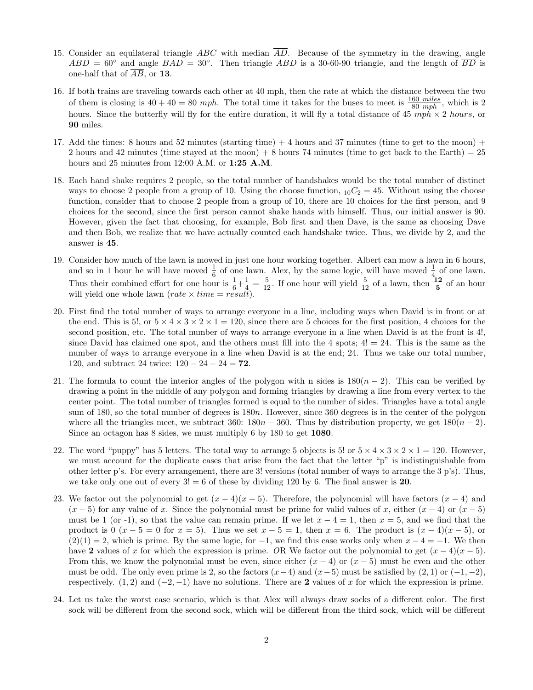- 15. Consider an equilateral triangle ABC with median  $\overline{AD}$ . Because of the symmetry in the drawing, angle  $ABD = 60°$  and angle  $BAD = 30°$ . Then triangle  $ABD$  is a 30-60-90 triangle, and the length of  $\overline{BD}$  is one-half that of  $\overline{AB}$ , or **13**.
- 16. If both trains are traveling towards each other at 40 mph, then the rate at which the distance between the two of them is closing is  $40 + 40 = 80$  mph. The total time it takes for the buses to meet is  $\frac{160 \text{ miles}}{80 \text{ mph}}$ , which is 2 hours. Since the butterfly will fly for the entire duration, it will fly a total distance of  $45 \text{ mph} \times 2 \text{ hours}$ , or 90 miles.
- 17. Add the times: 8 hours and 52 minutes (starting time) + 4 hours and 37 minutes (time to get to the moon) + 2 hours and 42 minutes (time stayed at the moon)  $+8$  hours 74 minutes (time to get back to the Earth) = 25 hours and 25 minutes from 12:00 A.M. or 1:25 A.M.
- 18. Each hand shake requires 2 people, so the total number of handshakes would be the total number of distinct ways to choose 2 people from a group of 10. Using the choose function,  $_{10}C_2 = 45$ . Without using the choose function, consider that to choose 2 people from a group of 10, there are 10 choices for the first person, and 9 choices for the second, since the first person cannot shake hands with himself. Thus, our initial answer is 90. However, given the fact that choosing, for example, Bob first and then Dave, is the same as choosing Dave and then Bob, we realize that we have actually counted each handshake twice. Thus, we divide by 2, and the answer is 45.
- 19. Consider how much of the lawn is mowed in just one hour working together. Albert can mow a lawn in 6 hours, and so in 1 hour he will have moved  $\frac{1}{6}$  of one lawn. Alex, by the same logic, will have moved  $\frac{1}{4}$  of one lawn. Thus their combined effort for one hour is  $\frac{1}{6} + \frac{1}{4}$  $\frac{1}{4} = \frac{5}{12}$ . If one hour will yield  $\frac{5}{12}$  of a lawn, then  $\frac{12}{5}$  of an hour will yield one whole lawn  $(rate \times time = result).$
- 20. First find the total number of ways to arrange everyone in a line, including ways when David is in front or at the end. This is 5!, or  $5 \times 4 \times 3 \times 2 \times 1 = 120$ , since there are 5 choices for the first position, 4 choices for the second position, etc. The total number of ways to arrange everyone in a line when David is at the front is 4!, since David has claimed one spot, and the others must fill into the 4 spots;  $4! = 24$ . This is the same as the number of ways to arrange everyone in a line when David is at the end; 24. Thus we take our total number, 120, and subtract 24 twice:  $120 - 24 - 24 = 72$ .
- 21. The formula to count the interior angles of the polygon with n sides is  $180(n-2)$ . This can be verified by drawing a point in the middle of any polygon and forming triangles by drawing a line from every vertex to the center point. The total number of triangles formed is equal to the number of sides. Triangles have a total angle sum of 180, so the total number of degrees is 180n. However, since 360 degrees is in the center of the polygon where all the triangles meet, we subtract 360:  $180n - 360$ . Thus by distribution property, we get  $180(n-2)$ . Since an octagon has 8 sides, we must multiply 6 by 180 to get 1080.
- 22. The word "puppy" has 5 letters. The total way to arrange 5 objects is 5! or  $5 \times 4 \times 3 \times 2 \times 1 = 120$ . However, we must account for the duplicate cases that arise from the fact that the letter "p" is indistinguishable from other letter p's. For every arrangement, there are 3! versions (total number of ways to arrange the 3 p's). Thus, we take only one out of every  $3! = 6$  of these by dividing 120 by 6. The final answer is 20.
- 23. We factor out the polynomial to get  $(x 4)(x 5)$ . Therefore, the polynomial will have factors  $(x 4)$  and  $(x - 5)$  for any value of x. Since the polynomial must be prime for valid values of x, either  $(x - 4)$  or  $(x - 5)$ must be 1 (or -1), so that the value can remain prime. If we let  $x - 4 = 1$ , then  $x = 5$ , and we find that the product is  $0$   $(x - 5 = 0$  for  $x = 5)$ . Thus we set  $x - 5 = 1$ , then  $x = 6$ . The product is  $(x - 4)(x - 5)$ , or  $(2)(1) = 2$ , which is prime. By the same logic, for  $-1$ , we find this case works only when  $x - 4 = -1$ . We then have 2 values of x for which the expression is prime. OR We factor out the polynomial to get  $(x - 4)(x - 5)$ . From this, we know the polynomial must be even, since either  $(x - 4)$  or  $(x - 5)$  must be even and the other must be odd. The only even prime is 2, so the factors  $(x-4)$  and  $(x-5)$  must be satisfied by  $(2, 1)$  or  $(-1, -2)$ , respectively. (1, 2) and  $(-2, -1)$  have no solutions. There are 2 values of x for which the expression is prime.
- 24. Let us take the worst case scenario, which is that Alex will always draw socks of a different color. The first sock will be different from the second sock, which will be different from the third sock, which will be different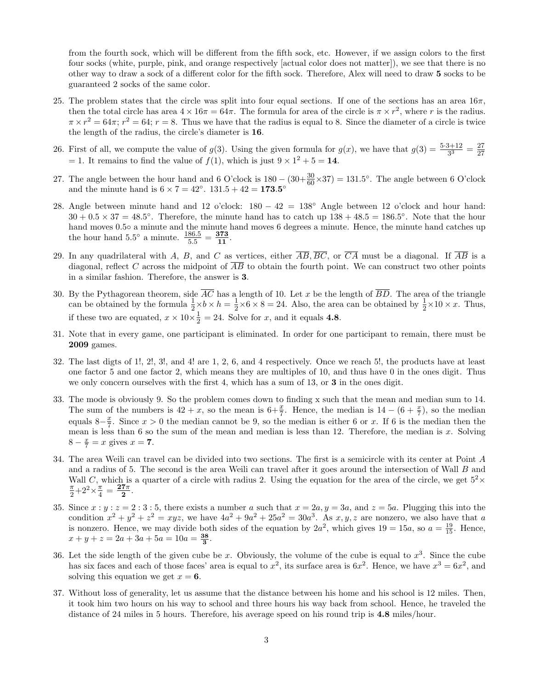from the fourth sock, which will be different from the fifth sock, etc. However, if we assign colors to the first four socks (white, purple, pink, and orange respectively [actual color does not matter]), we see that there is no other way to draw a sock of a different color for the fifth sock. Therefore, Alex will need to draw 5 socks to be guaranteed 2 socks of the same color.

- 25. The problem states that the circle was split into four equal sections. If one of the sections has an area  $16\pi$ , then the total circle has area  $4 \times 16\pi = 64\pi$ . The formula for area of the circle is  $\pi \times r^2$ , where r is the radius.  $\pi \times r^2 = 64\pi$ ;  $r^2 = 64$ ;  $r = 8$ . Thus we have that the radius is equal to 8. Since the diameter of a circle is twice the length of the radius, the circle's diameter is 16.
- 26. First of all, we compute the value of  $g(3)$ . Using the given formula for  $g(x)$ , we have that  $g(3) = \frac{5\cdot3+12}{3^3} = \frac{27}{27}$ 27  $= 1$ . It remains to find the value of  $f(1)$ , which is just  $9 \times 1^2 + 5 = 14$ .
- 27. The angle between the hour hand and 6 O'clock is  $180 (30 + \frac{30}{60} \times 37) = 131.5^{\circ}$ . The angle between 6 O'clock and the minute hand is  $6 \times 7 = 42^{\circ}$ .  $131.5 + 42 = 173.5^{\circ}$
- 28. Angle between minute hand and 12 o'clock: 180 − 42 = 138◦ Angle between 12 o'clock and hour hand:  $30 + 0.5 \times 37 = 48.5^{\circ}$ . Therefore, the minute hand has to catch up  $138 + 48.5 = 186.5^{\circ}$ . Note that the hour hand moves 0.5◦ a minute and the minute hand moves 6 degrees a minute. Hence, the minute hand catches up the hour hand  $5.5^{\circ}$  a minute.  $\frac{186.5}{5.5} = \frac{373}{11}$ .
- 29. In any quadrilateral with A, B, and C as vertices, either  $\overline{AB}, \overline{BC}$ , or  $\overline{CA}$  must be a diagonal. If  $\overline{AB}$  is a diagonal, reflect C across the midpoint of  $AB$  to obtain the fourth point. We can construct two other points in a similar fashion. Therefore, the answer is 3.
- 30. By the Pythagorean theorem, side  $\overline{AC}$  has a length of 10. Let x be the length of  $\overline{BD}$ . The area of the triangle can be obtained by the formula  $\frac{1}{2} \times b \times h = \frac{1}{2}$  $\frac{1}{2} \times 6 \times 8 = 24$ . Also, the area can be obtained by  $\frac{1}{2} \times 10 \times x$ . Thus, if these two are equated,  $x \times 10 \times \frac{1}{2}$  $\frac{1}{2}$  = 24. Solve for x, and it equals 4.8.
- 31. Note that in every game, one participant is eliminated. In order for one participant to remain, there must be 2009 games.
- 32. The last digts of 1!, 2!, 3!, and 4! are 1, 2, 6, and 4 respectively. Once we reach 5!, the products have at least one factor 5 and one factor 2, which means they are multiples of 10, and thus have 0 in the ones digit. Thus we only concern ourselves with the first 4, which has a sum of 13, or 3 in the ones digit.
- 33. The mode is obviously 9. So the problem comes down to finding x such that the mean and median sum to 14. The sum of the numbers is  $42 + x$ , so the mean is  $6+\frac{x}{7}$ . Hence, the median is  $14 - (6+\frac{x}{7})$ , so the median equals  $8-\frac{x}{7}$  $\frac{x}{7}$ . Since  $x > 0$  the median cannot be 9, so the median is either 6 or x. If 6 is the median then the mean is less than 6 so the sum of the mean and median is less than 12. Therefore, the median is  $x$ . Solving  $8 - \frac{x}{7} = x$  gives  $x = 7$ .
- 34. The area Weili can travel can be divided into two sections. The first is a semicircle with its center at Point A and a radius of 5. The second is the area Weili can travel after it goes around the intersection of Wall B and Wall C, which is a quarter of a circle with radius 2. Using the equation for the area of the circle, we get  $5^2\times$ π  $\frac{\pi}{2}+2^2\times\frac{\pi}{4}$  $\frac{\pi}{4}=\frac{\textcolor{red}{\mathbf{27}}\pi}{\textcolor{red}{\mathbf{2}}}$  $\frac{7\pi}{2}$ .
- 35. Since  $x : y : z = 2 : 3 : 5$ , there exists a number a such that  $x = 2a, y = 3a$ , and  $z = 5a$ . Plugging this into the condition  $x^2 + y^2 + z^2 = xyz$ , we have  $4a^2 + 9a^2 + 25a^2 = 30a^3$ . As  $x, y, z$  are nonzero, we also have that a is nonzero. Hence, we may divide both sides of the equation by  $2a^2$ , which gives  $19 = 15a$ , so  $a = \frac{19}{15}$ . Hence,  $x + y + z = 2a + 3a + 5a = 10a = \frac{38}{3}.$
- 36. Let the side length of the given cube be x. Obviously, the volume of the cube is equal to  $x^3$ . Since the cube has six faces and each of those faces' area is equal to  $x^2$ , its surface area is  $6x^2$ . Hence, we have  $x^3 = 6x^2$ , and solving this equation we get  $x = 6$ .
- 37. Without loss of generality, let us assume that the distance between his home and his school is 12 miles. Then, it took him two hours on his way to school and three hours his way back from school. Hence, he traveled the distance of 24 miles in 5 hours. Therefore, his average speed on his round trip is 4.8 miles/hour.